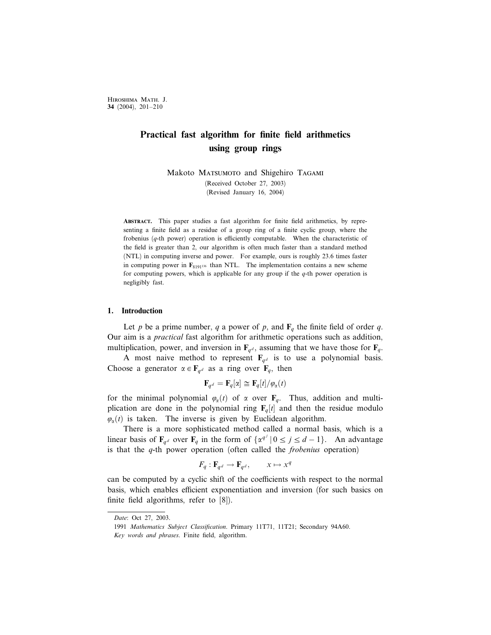Hiroshima Math. J. 34 (2004), 201–210

# Practical fast algorithm for finite field arithmetics using group rings

Makoto MATSUMOTO and Shigehiro TAGAMI (Received October 27, 2003) (Revised January 16, 2004)

Abstract. This paper studies a fast algorithm for finite field arithmetics, by representing a finite field as a residue of a group ring of a finite cyclic group, where the frobenius  $(q$ -th power) operation is efficiently computable. When the characteristic of the field is greater than 2, our algorithm is often much faster than a standard method (NTL) in computing inverse and power. For example, ours is roughly 23.6 times faster in computing power in  $\mathbf{F}_{8191^{136}}$  than NTL. The implementation contains a new scheme for computing powers, which is applicable for any group if the  $q$ -th power operation is negligibly fast.

#### 1. Introduction

Let p be a prime number, q a power of p, and  $\mathbf{F}_q$  the finite field of order q. Our aim is a practical fast algorithm for arithmetic operations such as addition, multiplication, power, and inversion in  $\mathbf{F}_{q,d}$ , assuming that we have those for  $\mathbf{F}_{q}$ .

A most naive method to represent  $\mathbf{F}_{qd}$  is to use a polynomial basis. Choose a generator  $\alpha \in \mathbf{F}_{q^d}$  as a ring over  $\mathbf{F}_q$ , then

$$
\mathbf{F}_{q^d} = \mathbf{F}_q[\alpha] \cong \mathbf{F}_q[t] / \varphi_\alpha(t)
$$

for the minimal polynomial  $\varphi_{\alpha}(t)$  of  $\alpha$  over  $\mathbf{F}_q$ . Thus, addition and multiplication are done in the polynomial ring  $F_q[t]$  and then the residue modulo  $\varphi_{\alpha}(t)$  is taken. The inverse is given by Euclidean algorithm.

There is a more sophisticated method called a normal basis, which is a linear basis of  $\mathbf{F}_{q^d}$  over  $\mathbf{F}_q$  in the form of  $\{\alpha^{q^j} \mid 0 \le j \le d - 1\}$ . An advantage is that the  $q$ -th power operation (often called the *frobenius* operation)

$$
F_q: \mathbf{F}_{q^d} \to \mathbf{F}_{q^d}, \qquad x \mapsto x^q
$$

can be computed by a cyclic shift of the coefficients with respect to the normal basis, which enables efficient exponentiation and inversion (for such basics on finite field algorithms, refer to [8]).

Date: Oct 27, 2003.

<sup>1991</sup> Mathematics Subject Classification. Primary 11T71, 11T21; Secondary 94A60. Key words and phrases. Finite field, algorithm.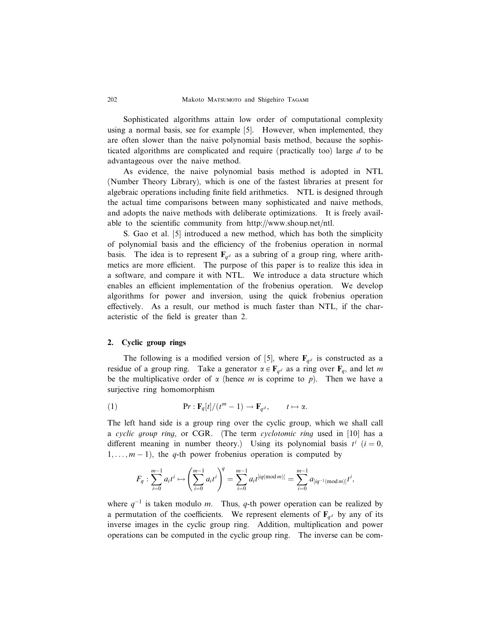Sophisticated algorithms attain low order of computational complexity using a normal basis, see for example [5]. However, when implemented, they are often slower than the naive polynomial basis method, because the sophisticated algorithms are complicated and require (practically too) large d to be advantageous over the naive method.

As evidence, the naive polynomial basis method is adopted in NTL (Number Theory Library), which is one of the fastest libraries at present for algebraic operations including finite field arithmetics. NTL is designed through the actual time comparisons between many sophisticated and naive methods, and adopts the naive methods with deliberate optimizations. It is freely available to the scientific community from http://www.shoup.net/ntl.

S. Gao et al. [5] introduced a new method, which has both the simplicity of polynomial basis and the efficiency of the frobenius operation in normal basis. The idea is to represent  $\mathbf{F}_{qd}$  as a subring of a group ring, where arithmetics are more efficient. The purpose of this paper is to realize this idea in a software, and compare it with NTL. We introduce a data structure which enables an efficient implementation of the frobenius operation. We develop algorithms for power and inversion, using the quick frobenius operation effectively. As a result, our method is much faster than NTL, if the characteristic of the field is greater than 2.

## 2. Cyclic group rings

The following is a modified version of [5], where  $\mathbf{F}_{qd}$  is constructed as a residue of a group ring. Take a generator  $\alpha \in \mathbf{F}_{q^d}$  as a ring over  $\mathbf{F}_q$ , and let m be the multiplicative order of  $\alpha$  (hence m is coprime to p). Then we have a surjective ring homomorphism

(1) 
$$
\mathbf{P}r:\mathbf{F}_q[t]/(t^m-1)\to\mathbf{F}_{q^d}, \qquad t\mapsto\alpha.
$$

The left hand side is a group ring over the cyclic group, which we shall call a cyclic group ring, or CGR. (The term cyclotomic ring used in [10] has a different meaning in number theory.) Using its polynomial basis  $t^i$  ( $i = 0$ ,  $1, \ldots, m-1$ , the q-th power frobenius operation is computed by

$$
F_q: \sum_{i=0}^{m-1} a_i t^i \mapsto \left(\sum_{i=0}^{m-1} a_i t^i\right)^q = \sum_{i=0}^{m-1} a_i t^{[iq \pmod{m}]} = \sum_{i=0}^{m-1} a_{[iq^{-1} \pmod{m}]} t^i,
$$

where  $q^{-1}$  is taken modulo *m*. Thus, q-th power operation can be realized by a permutation of the coefficients. We represent elements of  $\mathbf{F}_{q^d}$  by any of its inverse images in the cyclic group ring. Addition, multiplication and power operations can be computed in the cyclic group ring. The inverse can be com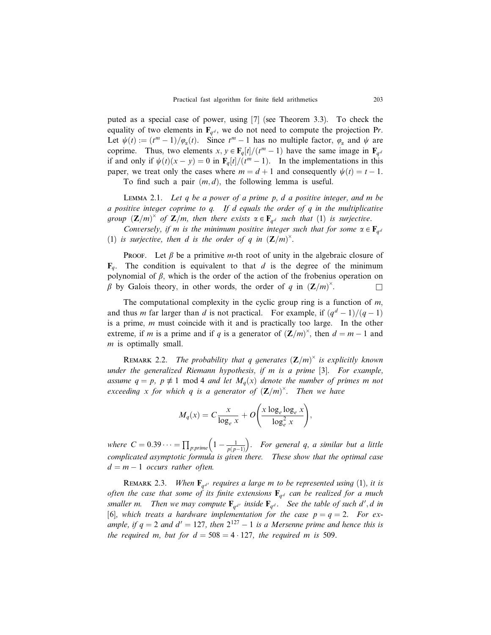puted as a special case of power, using [7] (see Theorem 3.3). To check the equality of two elements in  $\mathbf{F}_{q,d}$ , we do not need to compute the projection Pr. Let  $\psi(t) := (t^m - 1)/\varphi_\alpha(t)$ . Since  $t^m - 1$  has no multiple factor,  $\varphi_\alpha$  and  $\psi$  are coprime. Thus, two elements  $x, y \in \mathbf{F}_q[t]/(t^m - 1)$  have the same image in  $\mathbf{F}_q d$ if and only if  $\psi(t)(x - y) = 0$  in  $\mathbf{F}_q[t]/(t^m - 1)$ . In the implementations in this paper, we treat only the cases where  $m = d + 1$  and consequently  $\psi(t) = t - 1$ .

To find such a pair  $(m, d)$ , the following lemma is useful.

LEMMA 2.1. Let q be a power of a prime  $p$ , d a positive integer, and m be a positive integer coprime to  $q$ . If  $d$  equals the order of  $q$  in the multiplicative group  $(\mathbf{Z}/m)^{\times}$  of  $\mathbf{Z}/m$ , then there exists  $\alpha \in \mathbf{F}_{q^d}$  such that (1) is surjective.

Conversely, if m is the minimum positive integer such that for some  $\alpha \in \mathbf{F}_{q^d}$ (1) is surjective, then d is the order of q in  $(\mathbb{Z}/m)^{\times}$ .

**PROOF.** Let  $\beta$  be a primitive *m*-th root of unity in the algebraic closure of  $\mathbf{F}_q$ . The condition is equivalent to that d is the degree of the minimum polynomial of  $\beta$ , which is the order of the action of the frobenius operation on  $\beta$  by Galois theory, in other words, the order of q in  $(\mathbb{Z}/m)^{\times}$ .  $\Box$ 

The computational complexity in the cyclic group ring is a function of  $m$ , and thus *m* far larger than *d* is not practical. For example, if  $\frac{q^d - 1}{q - 1}$ is a prime, m must coincide with it and is practically too large. In the other extreme, if m is a prime and if q is a generator of  $(\mathbb{Z}/m)^\times$ , then  $d = m - 1$  and m is optimally small.

REMARK 2.2. The probability that q generates  $(\mathbb{Z}/m)^{\times}$  is explicitly known under the generalized Riemann hypothesis, if m is a prime [3]. For example, assume  $q = p$ ,  $p \not\equiv 1 \mod 4$  and let  $M_q(x)$  denote the number of primes m not exceeding x for which q is a generator of  $(\mathbf{Z}/m)^{\times}$ . Then we have

$$
M_q(x) = C \frac{x}{\log_e x} + O\left(\frac{x \log_e \log_e x}{\log_e^2 x}\right),\,
$$

where  $C = 0.39 \cdots = \prod_{p:prime} \left(1 - \frac{1}{p(p-1)}\right)$  $\sqrt{2}$ . For general q, a similar but a little complicated asymptotic formula is given there. These show that the optimal case  $d = m - 1$  occurs rather often.

REMARK 2.3. When  $\mathbf{F}_{q^{d'}}$  requires a large m to be represented using (1), it is often the case that some of its finite extensions  $\mathbf{F}_{q^d}$  can be realized for a much smaller m. Then we may compute  $\mathbf{F}_{q^{d'}}$  inside  $\mathbf{F}_{q^d}$ . See the table of such d', d in [6], which treats a hardware implementation for the case  $p = q = 2$ . For example, if  $q = 2$  and  $d' = 127$ , then  $2^{127} - 1$  is a Mersenne prime and hence this is the required m, but for  $d = 508 = 4 \cdot 127$ , the required m is 509.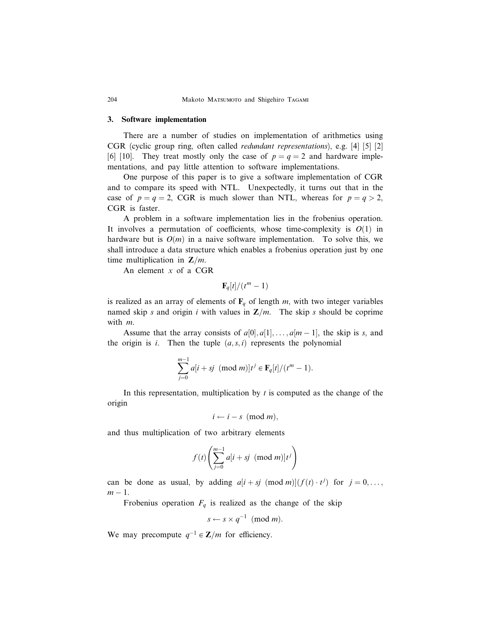## 3. Software implementation

There are a number of studies on implementation of arithmetics using CGR (cyclic group ring, often called redundant representations), e.g. [4] [5] [2] [6] [10]. They treat mostly only the case of  $p = q = 2$  and hardware implementations, and pay little attention to software implementations.

One purpose of this paper is to give a software implementation of CGR and to compare its speed with NTL. Unexpectedly, it turns out that in the case of  $p = q = 2$ , CGR is much slower than NTL, whereas for  $p = q > 2$ , CGR is faster.

A problem in a software implementation lies in the frobenius operation. It involves a permutation of coefficients, whose time-complexity is  $O(1)$  in hardware but is  $O(m)$  in a naive software implementation. To solve this, we shall introduce a data structure which enables a frobenius operation just by one time multiplication in  $\mathbb{Z}/m$ .

An element  $x$  of a CGR

$$
\mathbf{F}_q[t]/(t^m-1)
$$

is realized as an array of elements of  $\mathbf{F}_q$  of length m, with two integer variables named skip s and origin i with values in  $\mathbb{Z}/m$ . The skip s should be coprime with m.

Assume that the array consists of  $a[0], a[1], \ldots, a[m-1]$ , the skip is s, and the origin is *i*. Then the tuple  $(a, s, i)$  represents the polynomial

$$
\sum_{j=0}^{m-1} a[i+sj \pmod{m}] t^j \in \mathbf{F}_q[t]/(t^m-1).
$$

In this representation, multiplication by  $t$  is computed as the change of the origin

$$
i \leftarrow i - s \pmod{m},
$$

and thus multiplication of two arbitrary elements

$$
f(t)\left(\sum_{j=0}^{m-1}a[i+sj \pmod{m}]t^j\right)
$$

can be done as usual, by adding  $a[i + sj \pmod{m}](f(i) \cdot t^j)$  for  $j = 0, \ldots,$  $m-1$ .

Frobenius operation  $F_q$  is realized as the change of the skip

$$
s \leftarrow s \times q^{-1} \pmod{m}.
$$

We may precompute  $q^{-1} \in \mathbb{Z}/m$  for efficiency.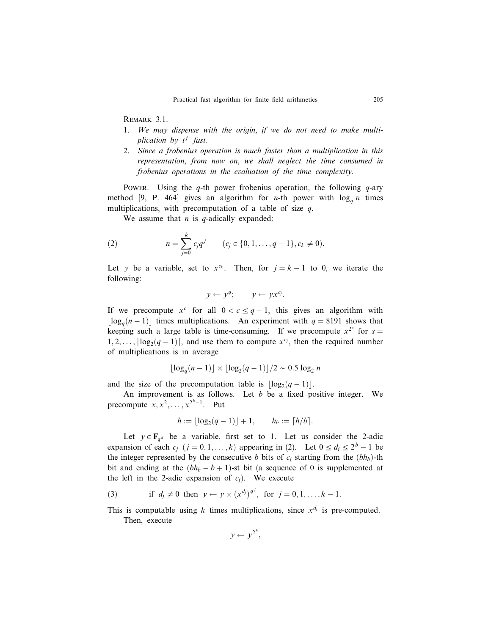Remark 3.1.

- 1. We may dispense with the origin, if we do not need to make multiplication by  $t^j$  fast.
- 2. Since a frobenius operation is much faster than a multiplication in this representation, from now on, we shall neglect the time consumed in frobenius operations in the evaluation of the time complexity.

Power. Using the q-th power frobenius operation, the following  $q$ -ary method [9, P. 464] gives an algorithm for *n*-th power with  $\log_a n$  times multiplications, with precomputation of a table of size  $q$ .

We assume that  $n$  is  $q$ -adically expanded:

(2) 
$$
n = \sum_{j=0}^{k} c_j q^j \qquad (c_j \in \{0, 1, \dots, q-1\}, c_k \neq 0).
$$

Let y be a variable, set to  $x^{c_k}$ . Then, for  $j = k - 1$  to 0, we iterate the following:

$$
y \leftarrow y^q; \qquad y \leftarrow y x^{c_j}.
$$

If we precompute  $x^c$  for all  $0 < c \leq q - 1$ , this gives an algorithm with  $\lfloor \log_q(n-1) \rfloor$  times multiplications. An experiment with  $q = 8191$  shows that keeping such a large table is time-consuming. If we precompute  $x^{2^s}$  for  $s =$  $[1, 2, \ldots, \lfloor \log_2(q-1) \rfloor]$ , and use them to compute  $x^{c_j}$ , then the required number of multiplications is in average

$$
\lfloor \log_q(n-1) \rfloor \times \lfloor \log_2(q-1) \rfloor / 2 \sim 0.5 \log_2 n
$$

and the size of the precomputation table is  $\lfloor \log_2(q-1) \rfloor$ .

An improvement is as follows. Let  $b$  be a fixed positive integer. We precompute  $x, x^2, \ldots, x^{2^b-1}$ . Put

$$
h := \lfloor \log_2(q-1) \rfloor + 1, \qquad h_b := \lceil h/b \rceil.
$$

Let  $y \in \mathbf{F}_{q^d}$  be a variable, first set to 1. Let us consider the 2-adic expansion of each  $c_j$   $(j = 0, 1, ..., k)$  appearing in (2). Let  $0 \le d_j \le 2^b - 1$  be the integer represented by the consecutive b bits of  $c_j$  starting from the  $(bh_b)$ -th bit and ending at the  $(bh_b - b + 1)$ -st bit (a sequence of 0 is supplemented at the left in the 2-adic expansion of  $c_j$ ). We execute

(3) if  $d_j \neq 0$  then  $y \leftarrow y \times (x^{d_j})^{q^j}$ , for  $j = 0, 1, ..., k - 1$ .

This is computable using k times multiplications, since  $x^{d_j}$  is pre-computed. Then, execute

$$
y \leftarrow y^{2^b},
$$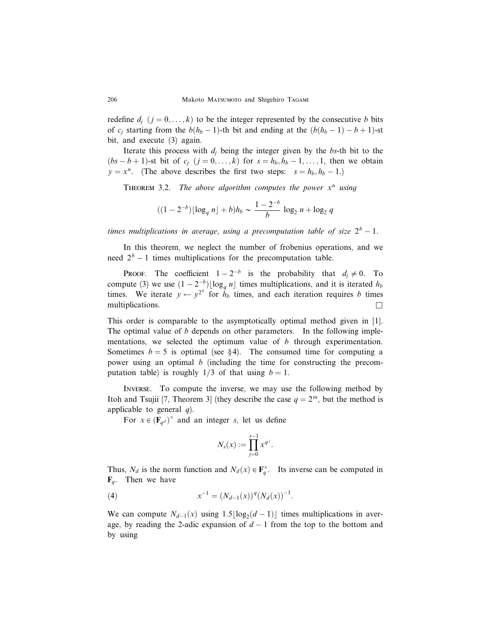redefine  $d_i$   $(j = 0, \ldots, k)$  to be the integer represented by the consecutive b bits of  $c_j$  starting from the  $b(h_b - 1)$ -th bit and ending at the  $(b(h_b - 1) - b + 1)$ -st bit, and execute (3) again.

Iterate this process with  $d_i$  being the integer given by the bs-th bit to the  $(bs - b + 1)$ -st bit of  $c_j$   $(j = 0, \ldots, k)$  for  $s = h_b, h_b - 1, \ldots, 1$ , then we obtain  $y = x^n$ . (The above describes the first two steps:  $s = h_b, h_b - 1$ .)

THEOREM 3.2. The above algorithm computes the power  $x^n$  using

$$
((1-2^{-b})\lfloor \log_q n \rfloor + b)h_b \sim \frac{1-2^{-b}}{b} \log_2 n + \log_2 q
$$

times multiplications in average, using a precomputation table of size  $2^b - 1$ .

In this theorem, we neglect the number of frobenius operations, and we need  $2^b - 1$  times multiplications for the precomputation table.

**PROOF.** The coefficient  $1 - 2^{-b}$  is the probability that  $d_j \neq 0$ . To compute (3) we use  $(1 - 2^{-b}) \lfloor \log_q n \rfloor$  times multiplications, and it is iterated  $h_b$ times. We iterate  $y \leftarrow y^{2^b}$  for  $h_b$  times, and each iteration requires b times multiplications.  $\Box$ 

This order is comparable to the asymptotically optimal method given in [1]. The optimal value of  $b$  depends on other parameters. In the following implementations, we selected the optimum value of  $b$  through experimentation. Sometimes  $b = 5$  is optimal (see §4). The consumed time for computing a power using an optimal b (including the time for constructing the precomputation table) is roughly  $1/3$  of that using  $b = 1$ .

Inverse. To compute the inverse, we may use the following method by Itoh and Tsujii [7, Theorem 3] (they describe the case  $q = 2^m$ , but the method is applicable to general  $q$ ).

For  $x \in (\mathbf{F}_{q^d})^{\times}$  and an integer s, let us define

$$
N_s(x) := \prod_{j=0}^{s-1} x^{q^j}.
$$

Thus,  $N_d$  is the norm function and  $N_d(x) \in \mathbf{F}_q^{\times}$ . Its inverse can be computed in  $\mathbf{F}_a$ . Then we have

(4) 
$$
x^{-1} = (N_{d-1}(x))^q (N_d(x))^{-1}.
$$

We can compute  $N_{d-1}(x)$  using  $1.5\lfloor \log_2(d-1) \rfloor$  times multiplications in average, by reading the 2-adic expansion of  $d-1$  from the top to the bottom and by using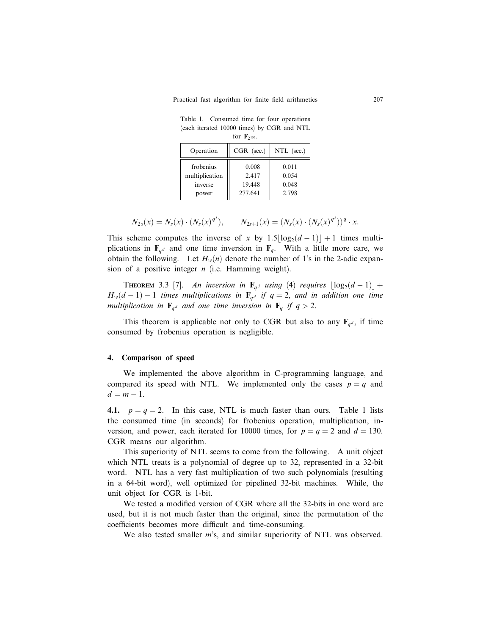| Table 1. Consumed time for four operations |  |  |  |  |
|--------------------------------------------|--|--|--|--|
| (each iterated 10000 times) by CGR and NTL |  |  |  |  |
| for $\mathbf{F}_{2^{130}}$ .               |  |  |  |  |

| Operation                                       | $CGR$ (sec.)                        | $NTL$ (sec.)                     |  |  |  |  |
|-------------------------------------------------|-------------------------------------|----------------------------------|--|--|--|--|
| frobenius<br>multiplication<br>inverse<br>power | 0.008<br>2.417<br>19.448<br>277.641 | 0.011<br>0.054<br>0.048<br>2.798 |  |  |  |  |

$$
N_{2s}(x) = N_s(x) \cdot (N_s(x)^{q^s}), \qquad N_{2s+1}(x) = (N_s(x) \cdot (N_s(x)^{q^s}))^q \cdot x.
$$

This scheme computes the inverse of x by  $1.5\lfloor \log_2(d-1) \rfloor + 1$  times multiplications in  $\mathbf{F}_{qd}$  and one time inversion in  $\mathbf{F}_{q}$ . With a little more care, we obtain the following. Let  $H_w(n)$  denote the number of 1's in the 2-adic expansion of a positive integer  $n$  (i.e. Hamming weight).

THEOREM 3.3 [7]. An inversion in  $\mathbf{F}_{q^d}$  using (4) requires  $\lfloor \log_2(d-1) \rfloor +$  $H_w(d-1) - 1$  times multiplications in  $\mathbf{F}_{q^d}$  if  $q = 2$ , and in addition one time multiplication in  $\mathbf{F}_{q^d}$  and one time inversion in  $\mathbf{F}_q$  if  $q > 2$ .

This theorem is applicable not only to CGR but also to any  $\mathbf{F}_{q,d}$ , if time consumed by frobenius operation is negligible.

## 4. Comparison of speed

We implemented the above algorithm in C-programming language, and compared its speed with NTL. We implemented only the cases  $p = q$  and  $d = m - 1$ .

4.1.  $p = q = 2$ . In this case, NTL is much faster than ours. Table 1 lists the consumed time (in seconds) for frobenius operation, multiplication, inversion, and power, each iterated for 10000 times, for  $p = q = 2$  and  $d = 130$ . CGR means our algorithm.

This superiority of NTL seems to come from the following. A unit object which NTL treats is a polynomial of degree up to 32, represented in a 32-bit word. NTL has a very fast multiplication of two such polynomials (resulting in a 64-bit word), well optimized for pipelined 32-bit machines. While, the unit object for CGR is 1-bit.

We tested a modified version of CGR where all the 32-bits in one word are used, but it is not much faster than the original, since the permutation of the coefficients becomes more difficult and time-consuming.

We also tested smaller *m*'s, and similar superiority of NTL was observed.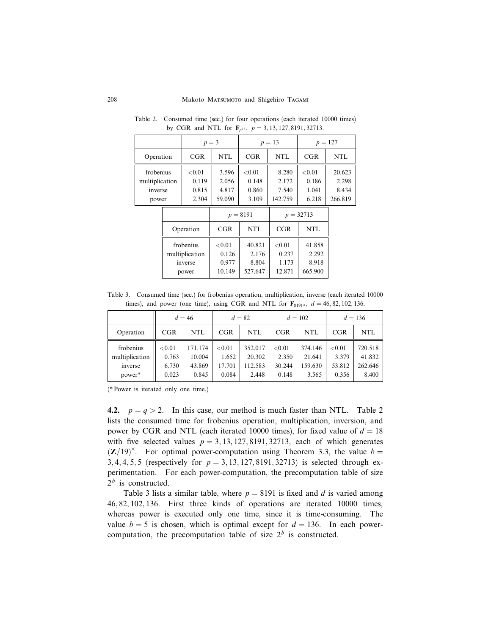|                                                 |  | $p = 3$                                         |                                       | $p = 13$                             |                                       | $p = 127$                           |                                     |
|-------------------------------------------------|--|-------------------------------------------------|---------------------------------------|--------------------------------------|---------------------------------------|-------------------------------------|-------------------------------------|
| Operation                                       |  | CGR                                             | NTL                                   | CGR                                  | NTL                                   | CGR                                 | <b>NTL</b>                          |
| frobenius<br>multiplication<br>inverse<br>power |  | < 0.01<br>0.119<br>0.815<br>2.304               | 3.596<br>2.056<br>4.817<br>59.090     | ${<}0.01$<br>0.148<br>0.860<br>3.109 | 8.280<br>2.172<br>7.540<br>142.759    | < 0.01<br>0.186<br>1.041<br>6.218   | 20.623<br>2.298<br>8.434<br>266.819 |
|                                                 |  |                                                 |                                       | $p = 8191$                           |                                       | $p = 32713$                         |                                     |
|                                                 |  | Operation                                       | CGR                                   | <b>NTL</b>                           | CGR                                   | NTL                                 |                                     |
|                                                 |  | frobenius<br>multiplication<br>inverse<br>power | ${<}0.01$<br>0.126<br>0.977<br>10.149 | 40.821<br>2.176<br>8.804<br>527.647  | ${<}0.01$<br>0.237<br>1.173<br>12.871 | 41.858<br>2.292<br>8.918<br>665.900 |                                     |
|                                                 |  |                                                 |                                       |                                      |                                       |                                     |                                     |

Table 2. Consumed time (sec.) for four operations (each iterated 10000 times) by CGR and NTL for  $\mathbf{F}_{p^{18}}$ ,  $p = 3, 13, 127, 8191, 32713$ .

Table 3. Consumed time (sec.) for frobenius operation, multiplication, inverse (each iterated 10000 times), and power (one time), using CGR and NTL for  $\mathbf{F}_{8191d}$ ,  $d = 46, 82, 102, 136$ .

|                                                  |                                   | $d = 46$                             | $d=82$                             |                                       | $d = 102$                          |                                       | $d = 136$                          |                                       |
|--------------------------------------------------|-----------------------------------|--------------------------------------|------------------------------------|---------------------------------------|------------------------------------|---------------------------------------|------------------------------------|---------------------------------------|
| Operation                                        | CGR                               | <b>NTL</b>                           | CGR                                | <b>NTL</b>                            | CGR                                | <b>NTL</b>                            | CGR                                | NTL                                   |
| frobenius<br>multiplication<br>inverse<br>power* | < 0.01<br>0.763<br>6.730<br>0.023 | 171.174<br>10.004<br>43.869<br>0.845 | < 0.01<br>1.652<br>17.701<br>0.084 | 352.017<br>20.302<br>112.583<br>2.448 | < 0.01<br>2.350<br>30.244<br>0.148 | 374.146<br>21.641<br>159.630<br>3.565 | < 0.01<br>3.379<br>53.812<br>0.356 | 720.518<br>41.832<br>262.646<br>8.400 |

(\* Power is iterated only one time.)

4.2.  $p = q > 2$ . In this case, our method is much faster than NTL. Table 2 lists the consumed time for frobenius operation, multiplication, inversion, and power by CGR and NTL (each iterated 10000 times), for fixed value of  $d = 18$ with five selected values  $p = 3, 13, 127, 8191, 32713$ , each of which generates  $(\mathbb{Z}/19)^{\times}$ . For optimal power-computation using Theorem 3.3, the value  $b =$ 3, 4, 4, 5, 5 (respectively for  $p = 3, 13, 127, 8191, 32713$ ) is selected through experimentation. For each power-computation, the precomputation table of size  $2<sup>b</sup>$  is constructed.

Table 3 lists a similar table, where  $p = 8191$  is fixed and d is varied among 46; 82; 102; 136. First three kinds of operations are iterated 10000 times, whereas power is executed only one time, since it is time-consuming. The value  $b = 5$  is chosen, which is optimal except for  $d = 136$ . In each powercomputation, the precomputation table of size  $2<sup>b</sup>$  is constructed.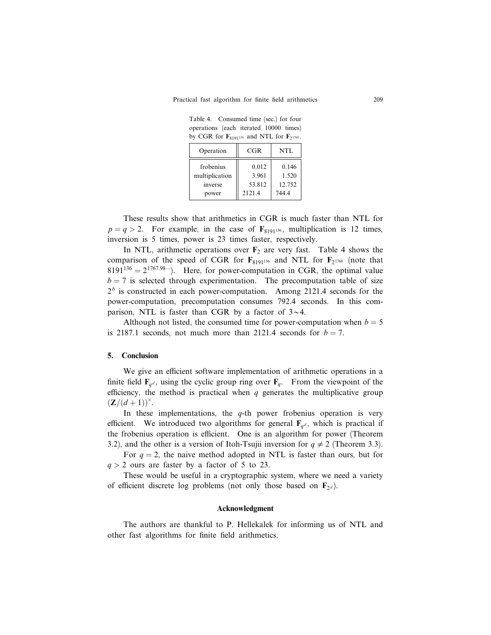Table 4. Consumed time (sec.) for four operations (each iterated 10000 times) by CGR for  $\mathbf{F}_{8191^{136}}$  and NTL for  $\mathbf{F}_{2^{1768}}$ .

| Operation      | CGR    | NTL    |
|----------------|--------|--------|
| frobenius      | 0.012  | 0.146  |
| multiplication | 3.961  | 1.520  |
| inverse        | 53.812 | 12.752 |
| power          | 2121.4 | 744.4  |

These results show that arithmetics in CGR is much faster than NTL for  $p = q > 2$ . For example, in the case of  $\mathbf{F}_{8191^{136}}$ , multiplication is 12 times, inversion is 5 times, power is 23 times faster, respectively.

In NTL, arithmetic operations over  $F_2$  are very fast. Table 4 shows the comparison of the speed of CGR for  $\mathbf{F}_{8191^{136}}$  and NTL for  $\mathbf{F}_{2^{1768}}$  (note that  $8191^{136} = 2^{1767.98...}$ . Here, for power-computation in CGR, the optimal value  $b = 7$  is selected through experimentation. The precomputation table of size  $2<sup>b</sup>$  is constructed in each power-computation. Among 2121.4 seconds for the power-computation, precomputation consumes 792.4 seconds. In this comparison, NTL is faster than CGR by a factor of  $3 \sim 4$ .

Although not listed, the consumed time for power-computation when  $b = 5$ is 2187.1 seconds, not much more than 2121.4 seconds for  $b = 7$ .

# 5. Conclusion

We give an efficient software implementation of arithmetic operations in a finite field  $\mathbf{F}_{q^d}$ , using the cyclic group ring over  $\mathbf{F}_q$ . From the viewpoint of the efficiency, the method is practical when  $q$  generates the multiplicative group  $({\bf Z}/(d+1))^\times$ .

In these implementations, the  $q$ -th power frobenius operation is very efficient. We introduced two algorithms for general  $\mathbf{F}_{q,d}$ , which is practical if the frobenius operation is efficient. One is an algorithm for power (Theorem 3.2), and the other is a version of Itoh-Tsujii inversion for  $q \neq 2$  (Theorem 3.3).

For  $q = 2$ , the naive method adopted in NTL is faster than ours, but for  $q > 2$  ours are faster by a factor of 5 to 23.

These would be useful in a cryptographic system, where we need a variety of efficient discrete log problems (not only those based on  $\mathbf{F}_{2d}$ ).

#### Acknowledgment

The authors are thankful to P. Hellekalek for informing us of NTL and other fast algorithms for finite field arithmetics.